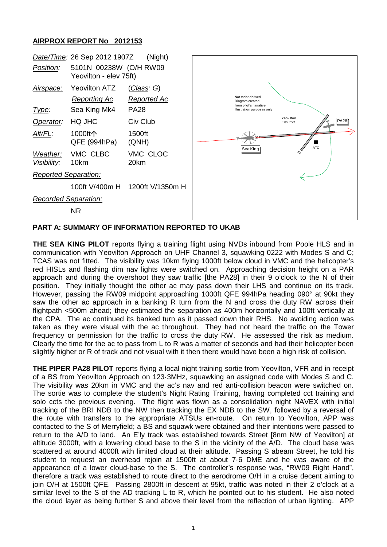## **AIRPROX REPORT No 2012153**



## **PART A: SUMMARY OF INFORMATION REPORTED TO UKAB**

**THE SEA KING PILOT** reports flying a training flight using NVDs inbound from Poole HLS and in communication with Yeovilton Approach on UHF Channel 3, squawking 0222 with Modes S and C; TCAS was not fitted. The visibility was 10km flying 1000ft below cloud in VMC and the helicopter's red HISLs and flashing dim nav lights were switched on. Approaching decision height on a PAR approach and during the overshoot they saw traffic [the PA28] in their 9 o'clock to the N of their position. They initially thought the other ac may pass down their LHS and continue on its track. However, passing the RW09 midpoint approaching 1000ft QFE 994hPa heading 090° at 90kt they saw the other ac approach in a banking R turn from the N and cross the duty RW across their flightpath <500m ahead; they estimated the separation as 400m horizontally and 100ft vertically at the CPA. The ac continued its banked turn as it passed down their RHS. No avoiding action was taken as they were visual with the ac throughout. They had not heard the traffic on the Tower frequency or permission for the traffic to cross the duty RW. He assessed the risk as medium. Clearly the time for the ac to pass from L to R was a matter of seconds and had their helicopter been slightly higher or R of track and not visual with it then there would have been a high risk of collision.

**THE PIPER PA28 PILOT** reports flying a local night training sortie from Yeovilton, VFR and in receipt of a BS from Yeovilton Approach on 123·3MHz, squawking an assigned code with Modes S and C. The visibility was 20km in VMC and the ac's nav and red anti-collision beacon were switched on. The sortie was to complete the student's Night Rating Training, having completed cct training and solo ccts the previous evening. The flight was flown as a consolidation night NAVEX with initial tracking of the BRI NDB to the NW then tracking the EX NDB to the SW, followed by a reversal of the route with transfers to the appropriate ATSUs en-route. On return to Yeovilton, APP was contacted to the S of Merryfield; a BS and squawk were obtained and their intentions were passed to return to the A/D to land. An E'ly track was established towards Street [8nm NW of Yeovilton] at altitude 3000ft, with a lowering cloud base to the S in the vicinity of the A/D. The cloud base was scattered at around 4000ft with limited cloud at their altitude. Passing S abeam Street, he told his student to request an overhead rejoin at 1500ft at about 7·6 DME and he was aware of the appearance of a lower cloud-base to the S. The controller's response was, "RW09 Right Hand", therefore a track was established to route direct to the aerodrome O/H in a cruise decent aiming to join O/H at 1500ft QFE. Passing 2800ft in descent at 95kt, traffic was noted in their 2 o'clock at a similar level to the S of the AD tracking L to R, which he pointed out to his student. He also noted the cloud layer as being further S and above their level from the reflection of urban lighting. APP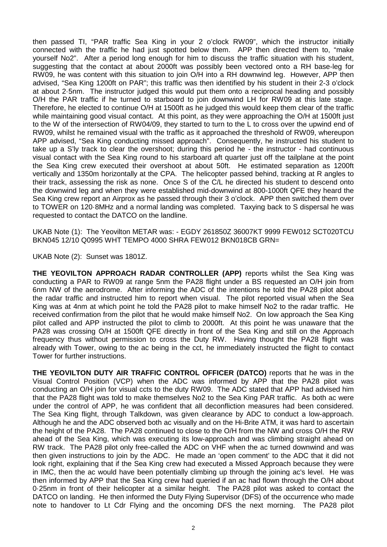then passed TI, "PAR traffic Sea King in your 2 o'clock RW09", which the instructor initially connected with the traffic he had just spotted below them. APP then directed them to, "make yourself No2". After a period long enough for him to discuss the traffic situation with his student, suggesting that the contact at about 2000ft was possibly been vectored onto a RH base-leg for RW09, he was content with this situation to join O/H into a RH downwind leg. However, APP then advised, "Sea King 1200ft on PAR"; this traffic was then identified by his student in their 2-3 o'clock at about 2·5nm. The instructor judged this would put them onto a reciprocal heading and possibly O/H the PAR traffic if he turned to starboard to join downwind LH for RW09 at this late stage. Therefore, he elected to continue O/H at 1500ft as he judged this would keep them clear of the traffic while maintaining good visual contact. At this point, as they were approaching the O/H at 1500ft just to the W of the intersection of RW04/09, they started to turn to the L to cross over the upwind end of RW09, whilst he remained visual with the traffic as it approached the threshold of RW09, whereupon APP advised, "Sea King conducting missed approach". Consequently, he instructed his student to take up a S'ly track to clear the overshoot; during this period he - the instructor - had continuous visual contact with the Sea King round to his starboard aft quarter just off the tailplane at the point the Sea King crew executed their overshoot at about 50ft. He estimated separation as 1200ft vertically and 1350m horizontally at the CPA. The helicopter passed behind, tracking at R angles to their track, assessing the risk as none. Once S of the C/L he directed his student to descend onto the downwind leg and when they were established mid-downwind at 800-1000ft QFE they heard the Sea King crew report an Airprox as he passed through their 3 o'clock. APP then switched them over to TOWER on 120·8MHz and a normal landing was completed. Taxying back to S dispersal he was requested to contact the DATCO on the landline.

UKAB Note (1): The Yeovilton METAR was: - EGDY 261850Z 36007KT 9999 FEW012 SCT020TCU BKN045 12/10 Q0995 WHT TEMPO 4000 SHRA FEW012 BKN018CB GRN=

UKAB Note (2): Sunset was 1801Z.

**THE YEOVILTON APPROACH RADAR CONTROLLER (APP)** reports whilst the Sea King was conducting a PAR to RW09 at range 5nm the PA28 flight under a BS requested an O/H join from 6nm NW of the aerodrome. After informing the ADC of the intentions he told the PA28 pilot about the radar traffic and instructed him to report when visual. The pilot reported visual when the Sea King was at 4nm at which point he told the PA28 pilot to make himself No2 to the radar traffic. He received confirmation from the pilot that he would make himself No2. On low approach the Sea King pilot called and APP instructed the pilot to climb to 2000ft. At this point he was unaware that the PA28 was crossing O/H at 1500ft QFE directly in front of the Sea King and still on the Approach frequency thus without permission to cross the Duty RW. Having thought the PA28 flight was already with Tower, owing to the ac being in the cct, he immediately instructed the flight to contact Tower for further instructions.

**THE YEOVILTON DUTY AIR TRAFFIC CONTROL OFFICER (DATCO)** reports that he was in the Visual Control Position (VCP) when the ADC was informed by APP that the PA28 pilot was conducting an O/H join for visual ccts to the duty RW09. The ADC stated that APP had advised him that the PA28 flight was told to make themselves No2 to the Sea King PAR traffic. As both ac were under the control of APP, he was confident that all deconfliction measures had been considered. The Sea King flight, through Talkdown, was given clearance by ADC to conduct a low-approach. Although he and the ADC observed both ac visually and on the Hi-Brite ATM, it was hard to ascertain the height of the PA28. The PA28 continued to close to the O/H from the NW and cross O/H the RW ahead of the Sea King, which was executing its low-approach and was climbing straight ahead on RW track. The PA28 pilot only free-called the ADC on VHF when the ac turned downwind and was then given instructions to join by the ADC. He made an 'open comment' to the ADC that it did not look right, explaining that if the Sea King crew had executed a Missed Approach because they were in IMC, then the ac would have been potentially climbing up through the joining ac's level. He was then informed by APP that the Sea King crew had queried if an ac had flown through the O/H about 0·25nm in front of their helicopter at a similar height. The PA28 pilot was asked to contact the DATCO on landing. He then informed the Duty Flying Supervisor (DFS) of the occurrence who made note to handover to Lt Cdr Flying and the oncoming DFS the next morning. The PA28 pilot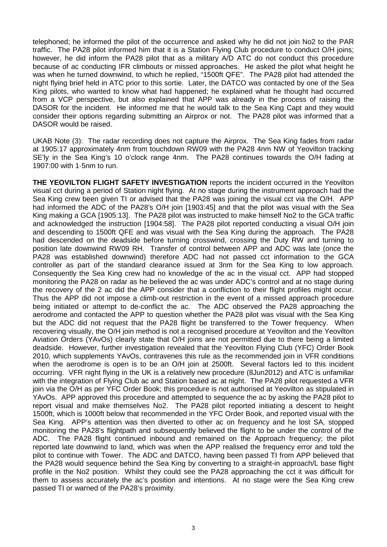telephoned; he informed the pilot of the occurrence and asked why he did not join No2 to the PAR traffic. The PA28 pilot informed him that it is a Station Flying Club procedure to conduct O/H joins; however, he did inform the PA28 pilot that as a military A/D ATC do not conduct this procedure because of ac conducting IFR climbouts or missed approaches. He asked the pilot what height he was when he turned downwind, to which he replied, "1500ft QFE". The PA28 pilot had attended the night flying brief held in ATC prior to this sortie. Later, the DATCO was contacted by one of the Sea King pilots, who wanted to know what had happened; he explained what he thought had occurred from a VCP perspective, but also explained that APP was already in the process of raising the DASOR for the incident. He informed me that he would talk to the Sea King Capt and they would consider their options regarding submitting an Airprox or not. The PA28 pilot was informed that a DASOR would be raised.

UKAB Note (3): The radar recording does not capture the Airprox. The Sea King fades from radar at 1905:17 approximately 4nm from touchdown RW09 with the PA28 4nm NW of Yeovilton tracking SE'ly in the Sea King's 10 o'clock range 4nm. The PA28 continues towards the O/H fading at 1907:00 with 1·5nm to run.

**THE YEOVILTON FLIGHT SAFETY INVESTIGATION** reports the incident occurred in the Yeovilton visual cct during a period of Station night flying. At no stage during the instrument approach had the Sea King crew been given TI or advised that the PA28 was joining the visual cct via the O/H. APP had informed the ADC of the PA28's O/H join [1903:45] and that the pilot was visual with the Sea King making a GCA [1905:13]. The PA28 pilot was instructed to make himself No2 to the GCA traffic and acknowledged the instruction [1904:58]. The PA28 pilot reported conducting a visual O/H join and descending to 1500ft QFE and was visual with the Sea King during the approach. The PA28 had descended on the deadside before turning crosswind, crossing the Duty RW and turning to position late downwind RW09 RH. Transfer of control between APP and ADC was late (once the PA28 was established downwind) therefore ADC had not passed cct information to the GCA controller as part of the standard clearance issued at 3nm for the Sea King to low approach. Consequently the Sea King crew had no knowledge of the ac in the visual cct. APP had stopped monitoring the PA28 on radar as he believed the ac was under ADC's control and at no stage during the recovery of the 2 ac did the APP consider that a confliction to their flight profiles might occur. Thus the APP did not impose a climb-out restriction in the event of a missed approach procedure being initiated or attempt to de-conflict the ac. The ADC observed the PA28 approaching the aerodrome and contacted the APP to question whether the PA28 pilot was visual with the Sea King but the ADC did not request that the PA28 flight be transferred to the Tower frequency. When recovering visually, the O/H join method is not a recognised procedure at Yeovilton and the Yeovilton Aviation Orders (YAvOs) clearly state that O/H joins are not permitted due to there being a limited deadside. However, further investigation revealed that the Yeovilton Flying Club (YFC) Order Book 2010, which supplements YAvOs, contravenes this rule as the recommended join in VFR conditions when the aerodrome is open is to be an O/H join at 2500ft. Several factors led to this incident occurring. VFR night flying in the UK is a relatively new procedure (8Jun2012) and ATC is unfamiliar with the integration of Flying Club ac and Station based ac at night. The PA28 pilot requested a VFR join via the O/H as per YFC Order Book; this procedure is not authorised at Yeovilton as stipulated in YAvOs. APP approved this procedure and attempted to sequence the ac by asking the PA28 pilot to report visual and make themselves No2. The PA28 pilot reported initiating a descent to height 1500ft, which is 1000ft below that recommended in the YFC Order Book, and reported visual with the Sea King. APP's attention was then diverted to other ac on frequency and he lost SA, stopped monitoring the PA28's flightpath and subsequently believed the flight to be under the control of the ADC. The PA28 flight continued inbound and remained on the Approach frequency; the pilot reported late downwind to land, which was when the APP realised the frequency error and told the pilot to continue with Tower. The ADC and DATCO, having been passed TI from APP believed that the PA28 would sequence behind the Sea King by converting to a straight-in approach/L base flight profile in the No2 position. Whilst they could see the PA28 approaching the cct it was difficult for them to assess accurately the ac's position and intentions. At no stage were the Sea King crew passed TI or warned of the PA28's proximity.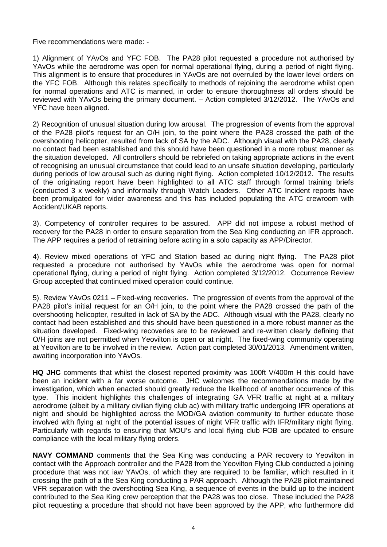Five recommendations were made: -

1) Alignment of YAvOs and YFC FOB. The PA28 pilot requested a procedure not authorised by YAvOs while the aerodrome was open for normal operational flying, during a period of night flying. This alignment is to ensure that procedures in YAvOs are not overruled by the lower level orders on the YFC FOB. Although this relates specifically to methods of rejoining the aerodrome whilst open for normal operations and ATC is manned, in order to ensure thoroughness all orders should be reviewed with YAvOs being the primary document. – Action completed 3/12/2012. The YAvOs and YFC have been aligned.

2) Recognition of unusual situation during low arousal. The progression of events from the approval of the PA28 pilot's request for an O/H join, to the point where the PA28 crossed the path of the overshooting helicopter, resulted from lack of SA by the ADC. Although visual with the PA28, clearly no contact had been established and this should have been questioned in a more robust manner as the situation developed. All controllers should be rebriefed on taking appropriate actions in the event of recognising an unusual circumstance that could lead to an unsafe situation developing, particularly during periods of low arousal such as during night flying. Action completed 10/12/2012. The results of the originating report have been highlighted to all ATC staff through formal training briefs (conducted 3 x weekly) and informally through Watch Leaders. Other ATC Incident reports have been promulgated for wider awareness and this has included populating the ATC crewroom with Accident/UKAB reports.

3). Competency of controller requires to be assured. APP did not impose a robust method of recovery for the PA28 in order to ensure separation from the Sea King conducting an IFR approach. The APP requires a period of retraining before acting in a solo capacity as APP/Director.

4). Review mixed operations of YFC and Station based ac during night flying. The PA28 pilot requested a procedure not authorised by YAvOs while the aerodrome was open for normal operational flying, during a period of night flying. Action completed 3/12/2012. Occurrence Review Group accepted that continued mixed operation could continue.

5). Review YAvOs 0211 – Fixed-wing recoveries. The progression of events from the approval of the PA28 pilot's initial request for an O/H join, to the point where the PA28 crossed the path of the overshooting helicopter, resulted in lack of SA by the ADC. Although visual with the PA28, clearly no contact had been established and this should have been questioned in a more robust manner as the situation developed. Fixed-wing recoveries are to be reviewed and re-written clearly defining that O/H joins are not permitted when Yeovilton is open or at night. The fixed-wing community operating at Yeovilton are to be involved in the review. Action part completed 30/01/2013. Amendment written, awaiting incorporation into YAvOs.

**HQ JHC** comments that whilst the closest reported proximity was 100ft V/400m H this could have been an incident with a far worse outcome. JHC welcomes the recommendations made by the investigation, which when enacted should greatly reduce the likelihood of another occurrence of this type. This incident highlights this challenges of integrating GA VFR traffic at night at a military aerodrome (albeit by a military civilian flying club ac) with military traffic undergoing IFR operations at night and should be highlighted across the MOD/GA aviation community to further educate those involved with flying at night of the potential issues of night VFR traffic with IFR/military night flying. Particularly with regards to ensuring that MOU's and local flying club FOB are updated to ensure compliance with the local military flying orders.

**NAVY COMMAND** comments that the Sea King was conducting a PAR recovery to Yeovilton in contact with the Approach controller and the PA28 from the Yeovilton Flying Club conducted a joining procedure that was not iaw YAvOs, of which they are required to be familiar, which resulted in it crossing the path of a the Sea King conducting a PAR approach. Although the PA28 pilot maintained VFR separation with the overshooting Sea King, a sequence of events in the build up to the incident contributed to the Sea King crew perception that the PA28 was too close. These included the PA28 pilot requesting a procedure that should not have been approved by the APP, who furthermore did